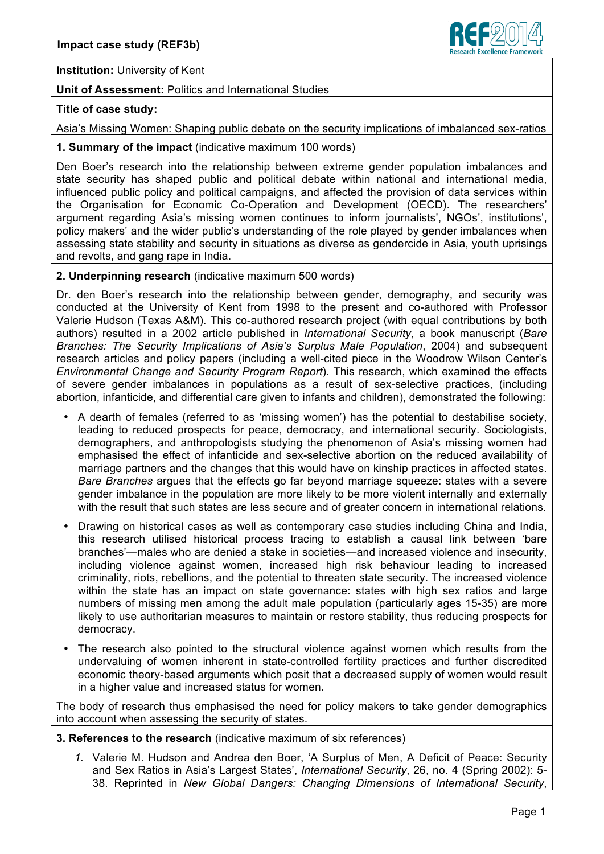

**Institution:** University of Kent

### **Unit of Assessment:** Politics and International Studies

## **Title of case study:**

Asia's Missing Women: Shaping public debate on the security implications of imbalanced sex-ratios

### **1. Summary of the impact** (indicative maximum 100 words)

Den Boer's research into the relationship between extreme gender population imbalances and state security has shaped public and political debate within national and international media, influenced public policy and political campaigns, and affected the provision of data services within the Organisation for Economic Co-Operation and Development (OECD). The researchers' argument regarding Asia's missing women continues to inform journalists', NGOs', institutions', policy makers' and the wider public's understanding of the role played by gender imbalances when assessing state stability and security in situations as diverse as gendercide in Asia, youth uprisings and revolts, and gang rape in India.

### **2. Underpinning research** (indicative maximum 500 words)

Dr. den Boer's research into the relationship between gender, demography, and security was conducted at the University of Kent from 1998 to the present and co-authored with Professor Valerie Hudson (Texas A&M). This co-authored research project (with equal contributions by both authors) resulted in a 2002 article published in *International Security*, a book manuscript (*Bare Branches: The Security Implications of Asia's Surplus Male Population*, 2004) and subsequent research articles and policy papers (including a well-cited piece in the Woodrow Wilson Center's *Environmental Change and Security Program Report*). This research, which examined the effects of severe gender imbalances in populations as a result of sex-selective practices, (including abortion, infanticide, and differential care given to infants and children), demonstrated the following:

- A dearth of females (referred to as 'missing women') has the potential to destabilise society, leading to reduced prospects for peace, democracy, and international security. Sociologists, demographers, and anthropologists studying the phenomenon of Asia's missing women had emphasised the effect of infanticide and sex-selective abortion on the reduced availability of marriage partners and the changes that this would have on kinship practices in affected states. *Bare Branches* argues that the effects go far beyond marriage squeeze: states with a severe gender imbalance in the population are more likely to be more violent internally and externally with the result that such states are less secure and of greater concern in international relations.
- Drawing on historical cases as well as contemporary case studies including China and India, this research utilised historical process tracing to establish a causal link between 'bare branches'—males who are denied a stake in societies—and increased violence and insecurity, including violence against women, increased high risk behaviour leading to increased criminality, riots, rebellions, and the potential to threaten state security. The increased violence within the state has an impact on state governance: states with high sex ratios and large numbers of missing men among the adult male population (particularly ages 15-35) are more likely to use authoritarian measures to maintain or restore stability, thus reducing prospects for democracy.
- The research also pointed to the structural violence against women which results from the undervaluing of women inherent in state-controlled fertility practices and further discredited economic theory-based arguments which posit that a decreased supply of women would result in a higher value and increased status for women.

The body of research thus emphasised the need for policy makers to take gender demographics into account when assessing the security of states.

- **3. References to the research** (indicative maximum of six references)
	- *1.* Valerie M. Hudson and Andrea den Boer, 'A Surplus of Men, A Deficit of Peace: Security and Sex Ratios in Asia's Largest States', *International Security*, 26, no. 4 (Spring 2002): 5- 38. Reprinted in *New Global Dangers: Changing Dimensions of International Security*,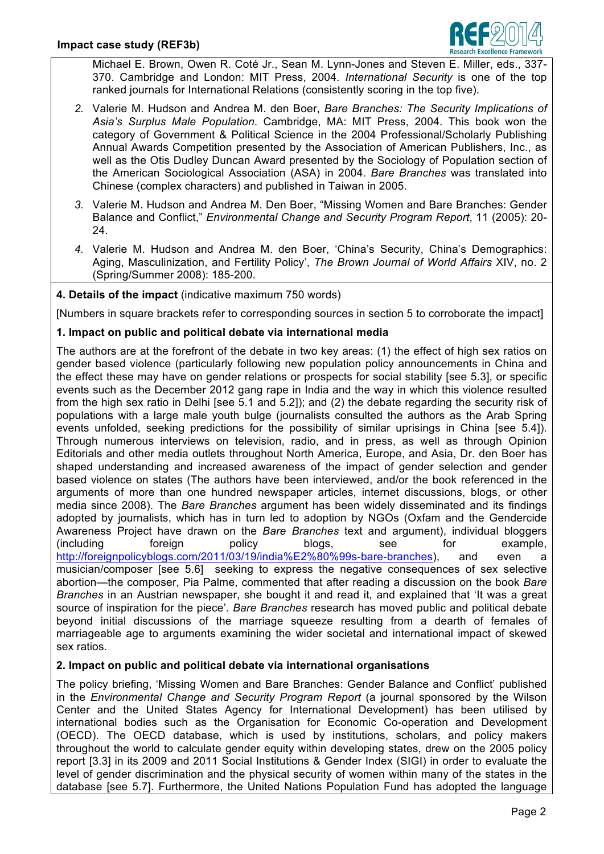

Michael E. Brown, Owen R. Coté Jr., Sean M. Lynn-Jones and Steven E. Miller, eds., 337- 370. Cambridge and London: MIT Press, 2004. *International Security* is one of the top ranked journals for International Relations (consistently scoring in the top five).

- *2.* Valerie M. Hudson and Andrea M. den Boer, *Bare Branches: The Security Implications of Asia's Surplus Male Population*. Cambridge, MA: MIT Press, 2004. This book won the category of Government & Political Science in the 2004 Professional/Scholarly Publishing Annual Awards Competition presented by the Association of American Publishers, Inc., as well as the Otis Dudley Duncan Award presented by the Sociology of Population section of the American Sociological Association (ASA) in 2004. *Bare Branches* was translated into Chinese (complex characters) and published in Taiwan in 2005.
- *3.* Valerie M. Hudson and Andrea M. Den Boer, "Missing Women and Bare Branches: Gender Balance and Conflict," *Environmental Change and Security Program Report*, 11 (2005): 20- 24.
- *4.* Valerie M. Hudson and Andrea M. den Boer, 'China's Security, China's Demographics: Aging, Masculinization, and Fertility Policy', *The Brown Journal of World Affairs* XIV, no. 2 (Spring/Summer 2008): 185-200.

# **4. Details of the impact** (indicative maximum 750 words)

[Numbers in square brackets refer to corresponding sources in section 5 to corroborate the impact]

# **1. Impact on public and political debate via international media**

The authors are at the forefront of the debate in two key areas: (1) the effect of high sex ratios on gender based violence (particularly following new population policy announcements in China and the effect these may have on gender relations or prospects for social stability [see 5.3], or specific events such as the December 2012 gang rape in India and the way in which this violence resulted from the high sex ratio in Delhi [see 5.1 and 5.2]); and (2) the debate regarding the security risk of populations with a large male youth bulge (journalists consulted the authors as the Arab Spring events unfolded, seeking predictions for the possibility of similar uprisings in China [see 5.4]). Through numerous interviews on television, radio, and in press, as well as through Opinion Editorials and other media outlets throughout North America, Europe, and Asia, Dr. den Boer has shaped understanding and increased awareness of the impact of gender selection and gender based violence on states (The authors have been interviewed, and/or the book referenced in the arguments of more than one hundred newspaper articles, internet discussions, blogs, or other media since 2008). The *Bare Branches* argument has been widely disseminated and its findings adopted by journalists, which has in turn led to adoption by NGOs (Oxfam and the Gendercide Awareness Project have drawn on the *Bare Branches* text and argument), individual bloggers (including foreign policy blogs, see for example, http://foreignpolicyblogs.com/2011/03/19/india%E2%80%99s-bare-branches), and even a musician/composer [see 5.6] seeking to express the negative consequences of sex selective abortion—the composer, Pia Palme, commented that after reading a discussion on the book *Bare Branches* in an Austrian newspaper, she bought it and read it, and explained that 'It was a great source of inspiration for the piece'. *Bare Branches* research has moved public and political debate beyond initial discussions of the marriage squeeze resulting from a dearth of females of marriageable age to arguments examining the wider societal and international impact of skewed sex ratios.

# **2. Impact on public and political debate via international organisations**

The policy briefing, 'Missing Women and Bare Branches: Gender Balance and Conflict' published in the *Environmental Change and Security Program Report* (a journal sponsored by the Wilson Center and the United States Agency for International Development) has been utilised by international bodies such as the Organisation for Economic Co-operation and Development (OECD). The OECD database, which is used by institutions, scholars, and policy makers throughout the world to calculate gender equity within developing states, drew on the 2005 policy report [3.3] in its 2009 and 2011 Social Institutions & Gender Index (SIGI) in order to evaluate the level of gender discrimination and the physical security of women within many of the states in the database [see 5.7]. Furthermore, the United Nations Population Fund has adopted the language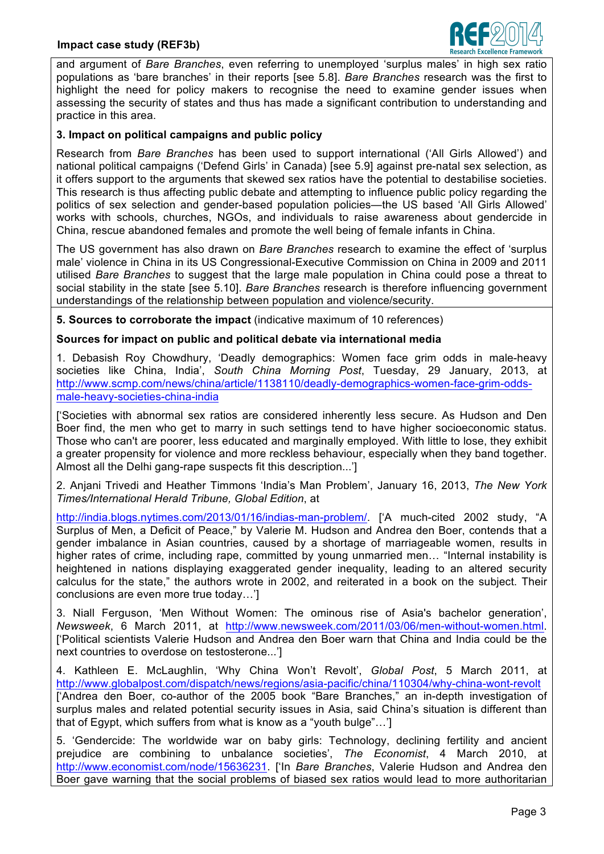### **Impact case study (REF3b)**



and argument of *Bare Branches*, even referring to unemployed 'surplus males' in high sex ratio populations as 'bare branches' in their reports [see 5.8]. *Bare Branches* research was the first to highlight the need for policy makers to recognise the need to examine gender issues when assessing the security of states and thus has made a significant contribution to understanding and practice in this area.

### **3. Impact on political campaigns and public policy**

Research from *Bare Branches* has been used to support international ('All Girls Allowed') and national political campaigns ('Defend Girls' in Canada) [see 5.9] against pre-natal sex selection, as it offers support to the arguments that skewed sex ratios have the potential to destabilise societies. This research is thus affecting public debate and attempting to influence public policy regarding the politics of sex selection and gender-based population policies—the US based 'All Girls Allowed' works with schools, churches, NGOs, and individuals to raise awareness about gendercide in China, rescue abandoned females and promote the well being of female infants in China.

The US government has also drawn on *Bare Branches* research to examine the effect of 'surplus male' violence in China in its US Congressional-Executive Commission on China in 2009 and 2011 utilised *Bare Branches* to suggest that the large male population in China could pose a threat to social stability in the state [see 5.10]. *Bare Branches* research is therefore influencing government understandings of the relationship between population and violence/security.

**5. Sources to corroborate the impact** (indicative maximum of 10 references)

### **Sources for impact on public and political debate via international media**

1. Debasish Roy Chowdhury, 'Deadly demographics: Women face grim odds in male-heavy societies like China, India', *South China Morning Post*, Tuesday, 29 January, 2013, at http://www.scmp.com/news/china/article/1138110/deadly-demographics-women-face-grim-oddsmale-heavy-societies-china-india

['Societies with abnormal sex ratios are considered inherently less secure. As Hudson and Den Boer find, the men who get to marry in such settings tend to have higher socioeconomic status. Those who can't are poorer, less educated and marginally employed. With little to lose, they exhibit a greater propensity for violence and more reckless behaviour, especially when they band together. Almost all the Delhi gang-rape suspects fit this description...']

2. Anjani Trivedi and Heather Timmons 'India's Man Problem', January 16, 2013, *The New York Times/International Herald Tribune, Global Edition*, at

http://india.blogs.nytimes.com/2013/01/16/indias-man-problem/. ['A much-cited 2002 study, "A Surplus of Men, a Deficit of Peace," by Valerie M. Hudson and Andrea den Boer, contends that a gender imbalance in Asian countries, caused by a shortage of marriageable women, results in higher rates of crime, including rape, committed by young unmarried men... "Internal instability is heightened in nations displaying exaggerated gender inequality, leading to an altered security calculus for the state," the authors wrote in 2002, and reiterated in a book on the subject. Their conclusions are even more true today…']

3. Niall Ferguson, 'Men Without Women: The ominous rise of Asia's bachelor generation', *Newsweek*, 6 March 2011, at http://www.newsweek.com/2011/03/06/men-without-women.html. ['Political scientists Valerie Hudson and Andrea den Boer warn that China and India could be the next countries to overdose on testosterone...']

4. Kathleen E. McLaughlin, 'Why China Won't Revolt', *Global Post*, 5 March 2011, at http://www.globalpost.com/dispatch/news/regions/asia-pacific/china/110304/why-china-wont-revolt ['Andrea den Boer, co-author of the 2005 book "Bare Branches," an in-depth investigation of surplus males and related potential security issues in Asia, said China's situation is different than that of Egypt, which suffers from what is know as a "youth bulge"…']

5. 'Gendercide: The worldwide war on baby girls: Technology, declining fertility and ancient prejudice are combining to unbalance societies', *The Economist*, 4 March 2010, at http://www.economist.com/node/15636231. ['In *Bare Branches*, Valerie Hudson and Andrea den Boer gave warning that the social problems of biased sex ratios would lead to more authoritarian